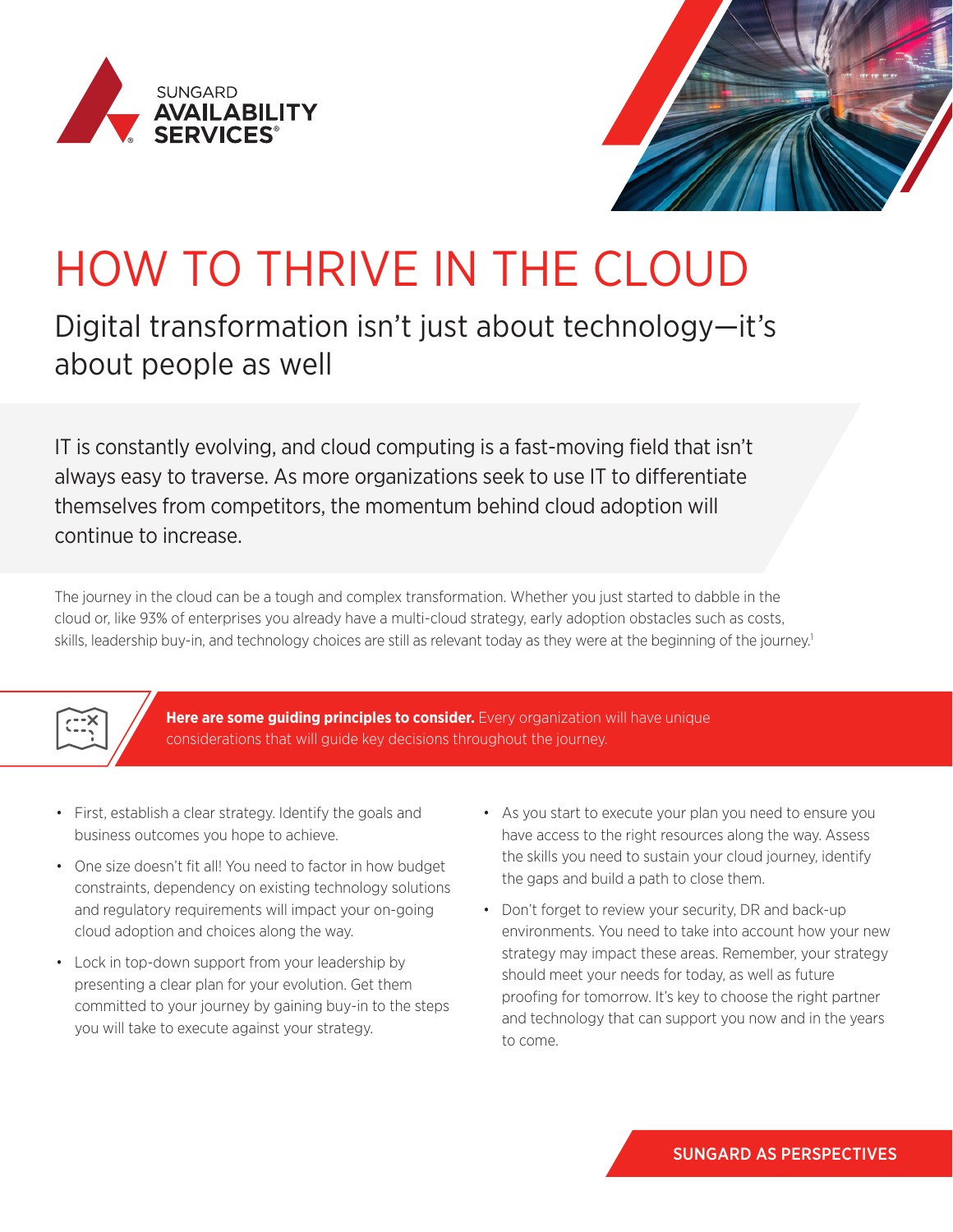



## HOW TO THRIVE IN THE CLOUD

## Digital transformation isn't just about technology—it's about people as well

IT is constantly evolving, and cloud computing is a fast-moving field that isn't always easy to traverse. As more organizations seek to use IT to differentiate themselves from competitors, the momentum behind cloud adoption will continue to increase.

The journey in the cloud can be a tough and complex transformation. Whether you just started to dabble in the cloud or, like 93% of enterprises you already have a multi-cloud strategy, early adoption obstacles such as costs, skills, leadership buy-in, and technology choices are still as relevant today as they were at the beginning of the journey.<sup>1</sup>



**Here are some guiding principles to consider.** Every organization will have unique considerations that will guide key decisions throughout the journey.

- First, establish a clear strategy. Identify the goals and business outcomes you hope to achieve.
- One size doesn't fit all! You need to factor in how budget constraints, dependency on existing technology solutions and regulatory requirements will impact your on-going cloud adoption and choices along the way.
- Lock in top-down support from your leadership by presenting a clear plan for your evolution. Get them committed to your journey by gaining buy-in to the steps you will take to execute against your strategy.
- As you start to execute your plan you need to ensure you have access to the right resources along the way. Assess the skills you need to sustain your cloud journey, identify the gaps and build a path to close them.
- Don't forget to review your security, DR and back-up environments. You need to take into account how your new strategy may impact these areas. Remember, your strategy should meet your needs for today, as well as future proofing for tomorrow. It's key to choose the right partner and technology that can support you now and in the years to come.